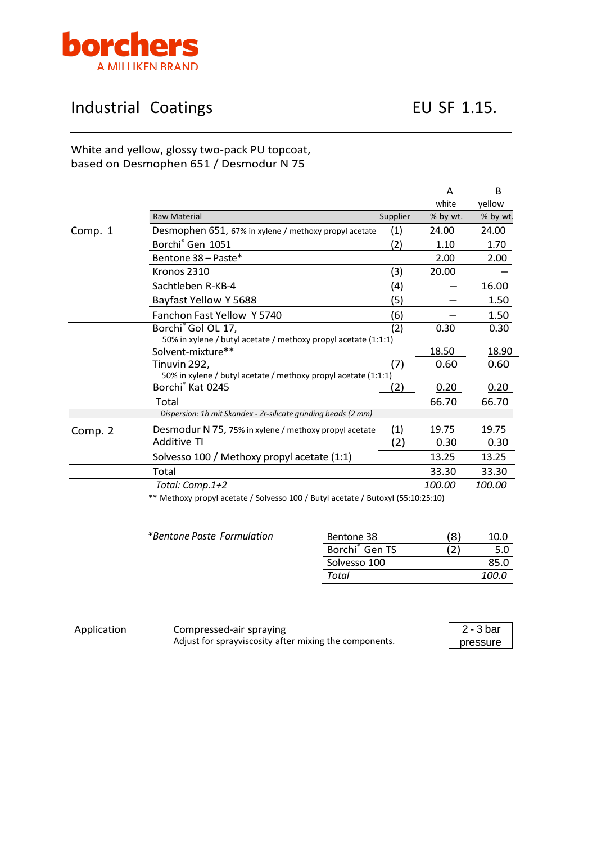

## Industrial Coatings **EU SF 1.15.**

## White and yellow, glossy two-pack PU topcoat, based on Desmophen 651 / Desmodur N 75

|         |                                                                |          | A             | B        |
|---------|----------------------------------------------------------------|----------|---------------|----------|
|         |                                                                |          | white         | yellow   |
|         | <b>Raw Material</b>                                            | Supplier | % by wt.      | % by wt. |
| Comp. 1 | Desmophen 651, 67% in xylene / methoxy propyl acetate          | (1)      | 24.00         | 24.00    |
|         | Borchi <sup>®</sup> Gen 1051                                   | (2)      | 1.10          | 1.70     |
|         | Bentone 38 - Paste*                                            |          | 2.00          | 2.00     |
|         | Kronos 2310                                                    | (3)      | 20.00         |          |
|         | Sachtleben R-KB-4                                              | (4)      |               | 16.00    |
|         | Bayfast Yellow Y 5688                                          | (5)      |               | 1.50     |
|         | Fanchon Fast Yellow Y 5740                                     | (6)      |               | 1.50     |
|         | Borchi <sup>®</sup> Gol OL 17,                                 | (2)      | 0.30          | 0.30     |
|         | 50% in xylene / butyl acetate / methoxy propyl acetate (1:1:1) |          |               |          |
|         | Solvent-mixture**                                              |          | 18.50         | 18.90    |
|         | Tinuvin 292,                                                   | (7)      | 0.60          | 0.60     |
|         | 50% in xylene / butyl acetate / methoxy propyl acetate (1:1:1) |          |               |          |
|         | Borchi® Kat 0245                                               | 2)       | 0.20          | 0.20     |
|         | Total                                                          |          | 66.70         | 66.70    |
|         | Dispersion: 1h mit Skandex - Zr-silicate grinding beads (2 mm) |          |               |          |
| Comp. 2 | Desmodur N 75, 75% in xylene / methoxy propyl acetate          | (1)      | 19.75         | 19.75    |
|         | <b>Additive TI</b>                                             | (2)      | 0.30          | 0.30     |
|         | Solvesso 100 / Methoxy propyl acetate (1:1)                    |          | 13.25         | 13.25    |
|         | Total                                                          |          | 33.30         | 33.30    |
|         | Total: Comp.1+2                                                |          | <i>100.00</i> | 100.00   |

\*\* Methoxy propyl acetate / Solvesso 100 / Butyl acetate / Butoxyl (55:10:25:10)

| *Bentone Paste Formulation | Bentone 38                 | '8) | 10.0  |
|----------------------------|----------------------------|-----|-------|
|                            | Borchi <sup>®</sup> Gen TS |     | 5.0   |
|                            | Solvesso 100               |     | 85.0  |
|                            | Total                      |     | 100.0 |

| Application | Compressed-air spraying                                | 2 - 3 bar |
|-------------|--------------------------------------------------------|-----------|
|             | Adjust for sprayviscosity after mixing the components. | pressure  |